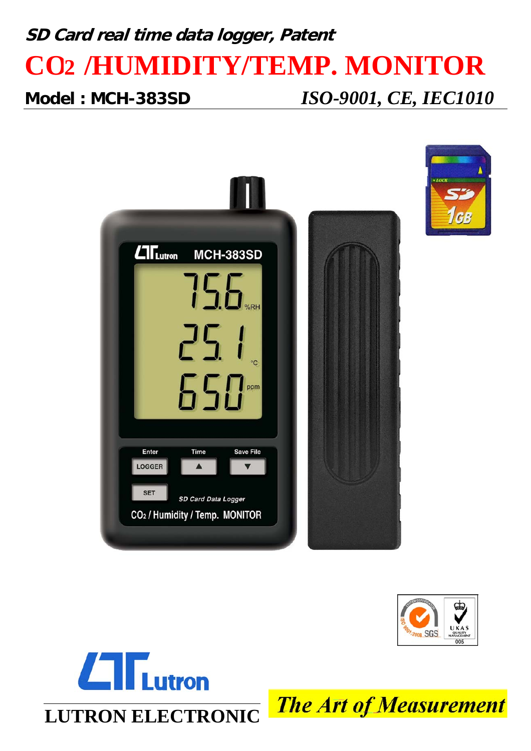# **SD Card real time data logger, Patent CO2 /HUMIDITY/TEMP. MONITOR**

**Model : MCH-383SD** *ISO-9001, CE, IEC1010*







**The Art of Measurement**